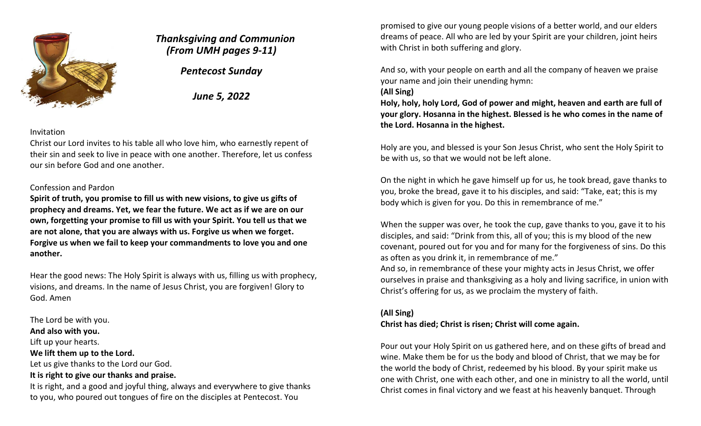

# *Thanksgiving and Communion (From UMH pages 9-11)*

*Pentecost Sunday*

*June 5, 2022*

#### Invitation

Christ our Lord invites to his table all who love him, who earnestly repent of their sin and seek to live in peace with one another. Therefore, let us confess our sin before God and one another.

### Confession and Pardon

**Spirit of truth, you promise to fill us with new visions, to give us gifts of prophecy and dreams. Yet, we fear the future. We act as if we are on our own, forgetting your promise to fill us with your Spirit. You tell us that we are not alone, that you are always with us. Forgive us when we forget. Forgive us when we fail to keep your commandments to love you and one another.** 

Hear the good news: The Holy Spirit is always with us, filling us with prophecy, visions, and dreams. In the name of Jesus Christ, you are forgiven! Glory to God. Amen

#### The Lord be with you.

**And also with you.**

Lift up your hearts.

#### **We lift them up to the Lord.**

Let us give thanks to the Lord our God.

### **It is right to give our thanks and praise.**

It is right, and a good and joyful thing, always and everywhere to give thanks to you, who poured out tongues of fire on the disciples at Pentecost. You

promised to give our young people visions of a better world, and our elders dreams of peace. All who are led by your Spirit are your children, joint heirs with Christ in both suffering and glory.

And so, with your people on earth and all the company of heaven we praise your name and join their unending hymn:

#### **(All Sing)**

**Holy, holy, holy Lord, God of power and might, heaven and earth are full of your glory. Hosanna in the highest. Blessed is he who comes in the name of the Lord. Hosanna in the highest.**

Holy are you, and blessed is your Son Jesus Christ, who sent the Holy Spirit to be with us, so that we would not be left alone.

On the night in which he gave himself up for us, he took bread, gave thanks to you, broke the bread, gave it to his disciples, and said: "Take, eat; this is my body which is given for you. Do this in remembrance of me."

When the supper was over, he took the cup, gave thanks to you, gave it to his disciples, and said: "Drink from this, all of you; this is my blood of the new covenant, poured out for you and for many for the forgiveness of sins. Do this as often as you drink it, in remembrance of me."

And so, in remembrance of these your mighty acts in Jesus Christ, we offer ourselves in praise and thanksgiving as a holy and living sacrifice, in union with Christ's offering for us, as we proclaim the mystery of faith.

#### **(All Sing)**

#### **Christ has died; Christ is risen; Christ will come again.**

Pour out your Holy Spirit on us gathered here, and on these gifts of bread and wine. Make them be for us the body and blood of Christ, that we may be for the world the body of Christ, redeemed by his blood. By your spirit make us one with Christ, one with each other, and one in ministry to all the world, until Christ comes in final victory and we feast at his heavenly banquet. Through